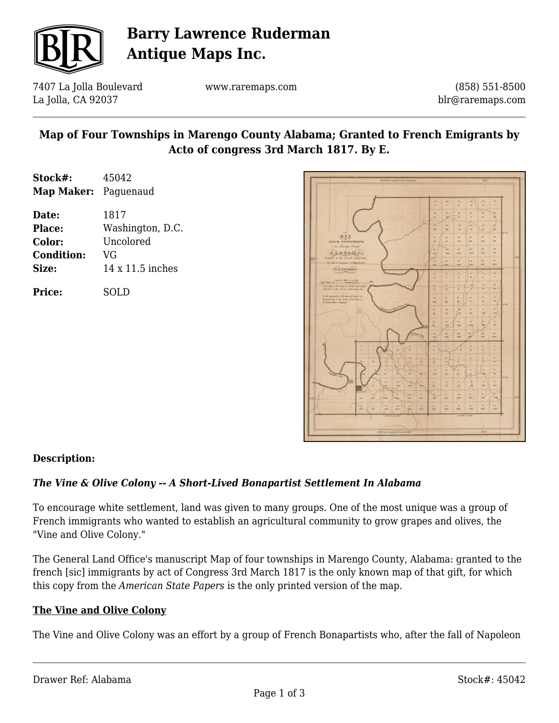

# **Barry Lawrence Ruderman Antique Maps Inc.**

7407 La Jolla Boulevard La Jolla, CA 92037

www.raremaps.com

(858) 551-8500 blr@raremaps.com

## **Map of Four Townships in Marengo County Alabama; Granted to French Emigrants by Acto of congress 3rd March 1817. By E.**

| Stock#:              | 45042            |
|----------------------|------------------|
| Map Maker: Paguenaud |                  |
| Date:                | 1817             |
| Place:               | Washington, D.C. |
| <b>Color:</b>        | Uncolored        |
| <b>Condition:</b>    | VG               |
| Size:                | 14 x 11.5 inches |
|                      |                  |

**Price:** SOLD



### **Description:**

### *The Vine & Olive Colony -- A Short-Lived Bonapartist Settlement In Alabama*

To encourage white settlement, land was given to many groups. One of the most unique was a group of French immigrants who wanted to establish an agricultural community to grow grapes and olives, the "Vine and Olive Colony."

The General Land Office's manuscript Map of four townships in Marengo County, Alabama: granted to the french [sic] immigrants by act of Congress 3rd March 1817 is the only known map of that gift, for which this copy from the *American State Papers* is the only printed version of the map.

#### **The Vine and Olive Colony**

The Vine and Olive Colony was an effort by a group of French Bonapartists who, after the fall of Napoleon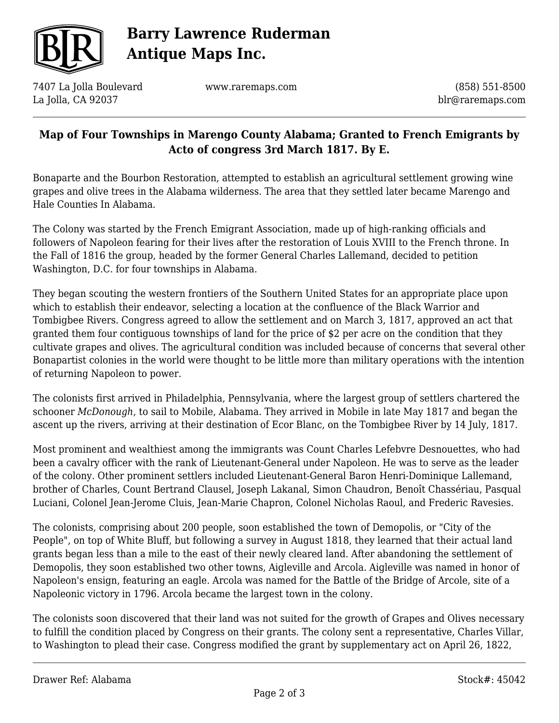

# **Barry Lawrence Ruderman Antique Maps Inc.**

7407 La Jolla Boulevard La Jolla, CA 92037

www.raremaps.com

(858) 551-8500 blr@raremaps.com

## **Map of Four Townships in Marengo County Alabama; Granted to French Emigrants by Acto of congress 3rd March 1817. By E.**

Bonaparte and the Bourbon Restoration, attempted to establish an agricultural settlement growing wine grapes and olive trees in the Alabama wilderness. The area that they settled later became Marengo and Hale Counties In Alabama.

The Colony was started by the French Emigrant Association, made up of high-ranking officials and followers of Napoleon fearing for their lives after the restoration of Louis XVIII to the French throne. In the Fall of 1816 the group, headed by the former General Charles Lallemand, decided to petition Washington, D.C. for four townships in Alabama.

They began scouting the western frontiers of the Southern United States for an appropriate place upon which to establish their endeavor, selecting a location at the confluence of the Black Warrior and Tombigbee Rivers. Congress agreed to allow the settlement and on March 3, 1817, approved an act that granted them four contiguous townships of land for the price of \$2 per acre on the condition that they cultivate grapes and olives. The agricultural condition was included because of concerns that several other Bonapartist colonies in the world were thought to be little more than military operations with the intention of returning Napoleon to power.

The colonists first arrived in Philadelphia, Pennsylvania, where the largest group of settlers chartered the schooner *McDonough*, to sail to Mobile, Alabama. They arrived in Mobile in late May 1817 and began the ascent up the rivers, arriving at their destination of Ecor Blanc, on the Tombigbee River by 14 July, 1817.

Most prominent and wealthiest among the immigrants was Count Charles Lefebvre Desnouettes, who had been a cavalry officer with the rank of Lieutenant-General under Napoleon. He was to serve as the leader of the colony. Other prominent settlers included Lieutenant-General Baron Henri-Dominique Lallemand, brother of Charles, Count Bertrand Clausel, Joseph Lakanal, Simon Chaudron, Benoît Chassériau, Pasqual Luciani, Colonel Jean-Jerome Cluis, Jean-Marie Chapron, Colonel Nicholas Raoul, and Frederic Ravesies.

The colonists, comprising about 200 people, soon established the town of Demopolis, or "City of the People", on top of White Bluff, but following a survey in August 1818, they learned that their actual land grants began less than a mile to the east of their newly cleared land. After abandoning the settlement of Demopolis, they soon established two other towns, Aigleville and Arcola. Aigleville was named in honor of Napoleon's ensign, featuring an eagle. Arcola was named for the Battle of the Bridge of Arcole, site of a Napoleonic victory in 1796. Arcola became the largest town in the colony.

The colonists soon discovered that their land was not suited for the growth of Grapes and Olives necessary to fulfill the condition placed by Congress on their grants. The colony sent a representative, Charles Villar, to Washington to plead their case. Congress modified the grant by supplementary act on April 26, 1822,